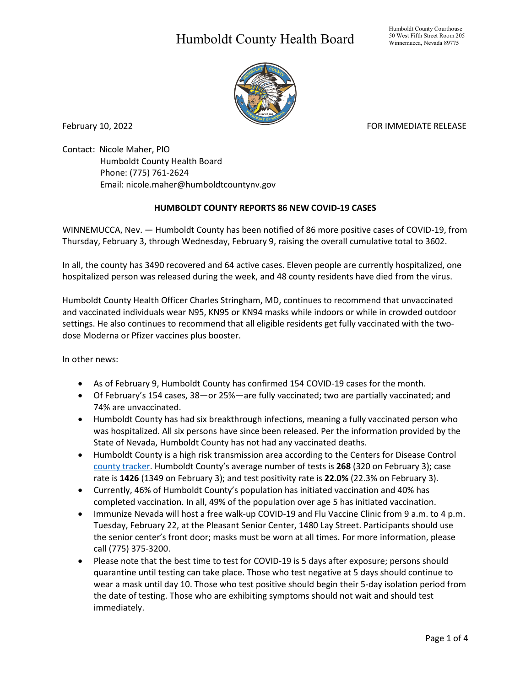## Humboldt County Health Board



February 10, 2022 **For a struck of the COVID-STATE RELEASE** FOR IMMEDIATE RELEASE

Contact: Nicole Maher, PIO Humboldt County Health Board Phone: (775) 761-2624 Email: nicole.maher@humboldtcountynv.gov

## **HUMBOLDT COUNTY REPORTS 86 NEW COVID-19 CASES**

WINNEMUCCA, Nev. — Humboldt County has been notified of 86 more positive cases of COVID-19, from Thursday, February 3, through Wednesday, February 9, raising the overall cumulative total to 3602.

In all, the county has 3490 recovered and 64 active cases. Eleven people are currently hospitalized, one hospitalized person was released during the week, and 48 county residents have died from the virus.

Humboldt County Health Officer Charles Stringham, MD, continues to recommend that unvaccinated and vaccinated individuals wear N95, KN95 or KN94 masks while indoors or while in crowded outdoor settings. He also continues to recommend that all eligible residents get fully vaccinated with the twodose Moderna or Pfizer vaccines plus booster.

In other news:

- As of February 9, Humboldt County has confirmed 154 COVID-19 cases for the month.
- Of February's 154 cases, 38—or 25%—are fully vaccinated; two are partially vaccinated; and 74% are unvaccinated.
- Humboldt County has had six breakthrough infections, meaning a fully vaccinated person who was hospitalized. All six persons have since been released. Per the information provided by the State of Nevada, Humboldt County has not had any vaccinated deaths.
- Humboldt County is a high risk transmission area according to the Centers for Disease Control [county tracker.](https://nvhealthresponse.nv.gov/current-status-mitigation-measures/) Humboldt County's average number of tests is **268** (320 on February 3); case rate is **1426** (1349 on February 3); and test positivity rate is **22.0%** (22.3% on February 3).
- Currently, 46% of Humboldt County's population has initiated vaccination and 40% has completed vaccination. In all, 49% of the population over age 5 has initiated vaccination.
- Immunize Nevada will host a free walk-up COVID-19 and Flu Vaccine Clinic from 9 a.m. to 4 p.m. Tuesday, February 22, at the Pleasant Senior Center, 1480 Lay Street. Participants should use the senior center's front door; masks must be worn at all times. For more information, please call (775) 375-3200.
- Please note that the best time to test for COVID-19 is 5 days after exposure; persons should quarantine until testing can take place. Those who test negative at 5 days should continue to wear a mask until day 10. Those who test positive should begin their 5-day isolation period from the date of testing. Those who are exhibiting symptoms should not wait and should test immediately.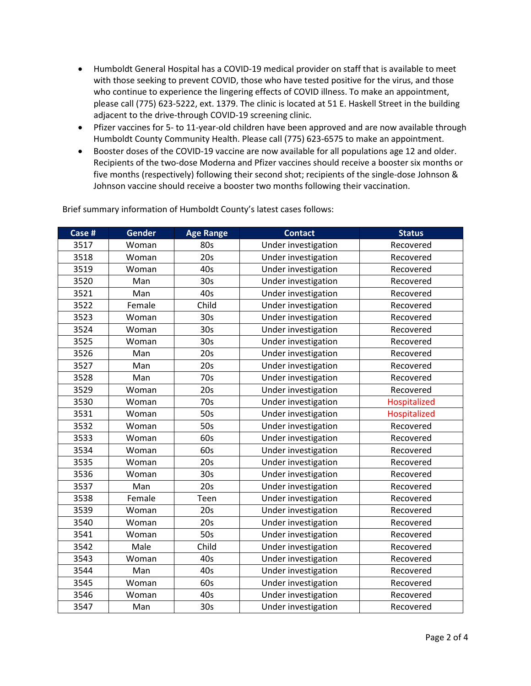- Humboldt General Hospital has a COVID-19 medical provider on staff that is available to meet with those seeking to prevent COVID, those who have tested positive for the virus, and those who continue to experience the lingering effects of COVID illness. To make an appointment, please call (775) 623-5222, ext. 1379. The clinic is located at 51 E. Haskell Street in the building adjacent to the drive-through COVID-19 screening clinic.
- Pfizer vaccines for 5- to 11-year-old children have been approved and are now available through Humboldt County Community Health. Please call (775) 623-6575 to make an appointment.
- Booster doses of the COVID-19 vaccine are now available for all populations age 12 and older. Recipients of the two-dose Moderna and Pfizer vaccines should receive a booster six months or five months (respectively) following their second shot; recipients of the single-dose Johnson & Johnson vaccine should receive a booster two months following their vaccination.

| Case # | <b>Gender</b> | <b>Age Range</b> | <b>Contact</b>      | <b>Status</b>       |
|--------|---------------|------------------|---------------------|---------------------|
| 3517   | Woman         | 80s              | Under investigation | Recovered           |
| 3518   | Woman         | 20s              | Under investigation | Recovered           |
| 3519   | Woman         | 40s              | Under investigation | Recovered           |
| 3520   | Man           | 30 <sub>s</sub>  | Under investigation | Recovered           |
| 3521   | Man           | 40s              | Under investigation | Recovered           |
| 3522   | Female        | Child            | Under investigation | Recovered           |
| 3523   | Woman         | 30 <sub>s</sub>  | Under investigation | Recovered           |
| 3524   | Woman         | 30 <sub>s</sub>  | Under investigation | Recovered           |
| 3525   | Woman         | 30 <sub>s</sub>  | Under investigation | Recovered           |
| 3526   | Man           | 20s              | Under investigation | Recovered           |
| 3527   | Man           | 20s              | Under investigation | Recovered           |
| 3528   | Man           | 70s              | Under investigation | Recovered           |
| 3529   | Woman         | 20s              | Under investigation | Recovered           |
| 3530   | Woman         | 70s              | Under investigation | <b>Hospitalized</b> |
| 3531   | Woman         | 50s              | Under investigation | Hospitalized        |
| 3532   | Woman         | 50s              | Under investigation | Recovered           |
| 3533   | Woman         | 60s              | Under investigation | Recovered           |
| 3534   | Woman         | 60s              | Under investigation | Recovered           |
| 3535   | Woman         | 20s              | Under investigation | Recovered           |
| 3536   | Woman         | 30 <sub>s</sub>  | Under investigation | Recovered           |
| 3537   | Man           | 20s              | Under investigation | Recovered           |
| 3538   | Female        | Teen             | Under investigation | Recovered           |
| 3539   | Woman         | 20s              | Under investigation | Recovered           |
| 3540   | Woman         | 20s              | Under investigation | Recovered           |
| 3541   | Woman         | 50s              | Under investigation | Recovered           |
| 3542   | Male          | Child            | Under investigation | Recovered           |
| 3543   | Woman         | 40s              | Under investigation | Recovered           |
| 3544   | Man           | 40s              | Under investigation | Recovered           |
| 3545   | Woman         | 60s              | Under investigation | Recovered           |
| 3546   | Woman         | 40s              | Under investigation | Recovered           |
| 3547   | Man           | 30s              | Under investigation | Recovered           |

Brief summary information of Humboldt County's latest cases follows: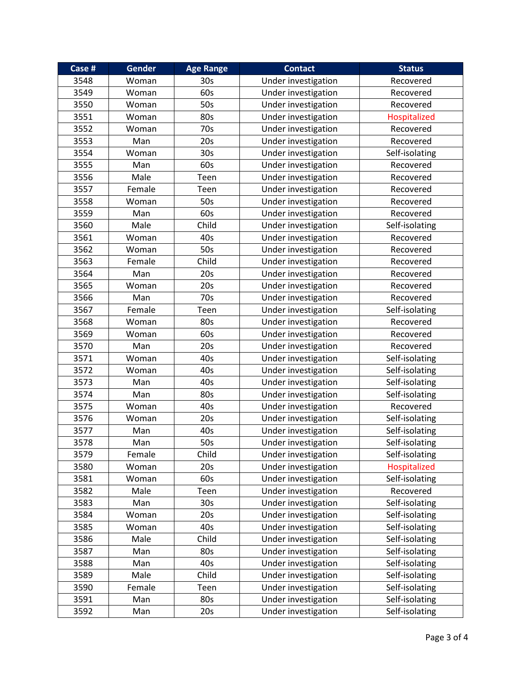| Case # | Gender | <b>Age Range</b> | <b>Contact</b>      | <b>Status</b>  |
|--------|--------|------------------|---------------------|----------------|
| 3548   | Woman  | 30s              | Under investigation | Recovered      |
| 3549   | Woman  | 60s              | Under investigation | Recovered      |
| 3550   | Woman  | 50s              | Under investigation | Recovered      |
| 3551   | Woman  | 80s              | Under investigation | Hospitalized   |
| 3552   | Woman  | 70s              | Under investigation | Recovered      |
| 3553   | Man    | 20s              | Under investigation | Recovered      |
| 3554   | Woman  | 30 <sub>s</sub>  | Under investigation | Self-isolating |
| 3555   | Man    | 60s              | Under investigation | Recovered      |
| 3556   | Male   | Teen             | Under investigation | Recovered      |
| 3557   | Female | Teen             | Under investigation | Recovered      |
| 3558   | Woman  | 50s              | Under investigation | Recovered      |
| 3559   | Man    | 60s              | Under investigation | Recovered      |
| 3560   | Male   | Child            | Under investigation | Self-isolating |
| 3561   | Woman  | 40s              | Under investigation | Recovered      |
| 3562   | Woman  | 50s              | Under investigation | Recovered      |
| 3563   | Female | Child            | Under investigation | Recovered      |
| 3564   | Man    | 20s              | Under investigation | Recovered      |
| 3565   | Woman  | 20s              | Under investigation | Recovered      |
| 3566   | Man    | 70s              | Under investigation | Recovered      |
| 3567   | Female | Teen             | Under investigation | Self-isolating |
| 3568   | Woman  | 80s              | Under investigation | Recovered      |
| 3569   | Woman  | 60s              | Under investigation | Recovered      |
| 3570   | Man    | 20s              | Under investigation | Recovered      |
| 3571   | Woman  | 40s              | Under investigation | Self-isolating |
| 3572   | Woman  | 40s              | Under investigation | Self-isolating |
| 3573   | Man    | 40s              | Under investigation | Self-isolating |
| 3574   | Man    | 80s              | Under investigation | Self-isolating |
| 3575   | Woman  | 40s              | Under investigation | Recovered      |
| 3576   | Woman  | 20s              | Under investigation | Self-isolating |
| 3577   | Man    | 40s              | Under investigation | Self-isolating |
| 3578   | Man    | 50s              | Under investigation | Self-isolating |
| 3579   | Female | Child            | Under investigation | Self-isolating |
| 3580   | Woman  | 20s              | Under investigation | Hospitalized   |
| 3581   | Woman  | 60s              | Under investigation | Self-isolating |
| 3582   | Male   | Teen             | Under investigation | Recovered      |
| 3583   | Man    | 30s              | Under investigation | Self-isolating |
| 3584   | Woman  | 20s              | Under investigation | Self-isolating |
| 3585   | Woman  | 40s              | Under investigation | Self-isolating |
| 3586   | Male   | Child            | Under investigation | Self-isolating |
| 3587   | Man    | 80s              | Under investigation | Self-isolating |
| 3588   | Man    | 40s              | Under investigation | Self-isolating |
| 3589   | Male   | Child            | Under investigation | Self-isolating |
| 3590   | Female | Teen             | Under investigation | Self-isolating |
| 3591   | Man    | 80s              | Under investigation | Self-isolating |
| 3592   | Man    | 20s              | Under investigation | Self-isolating |